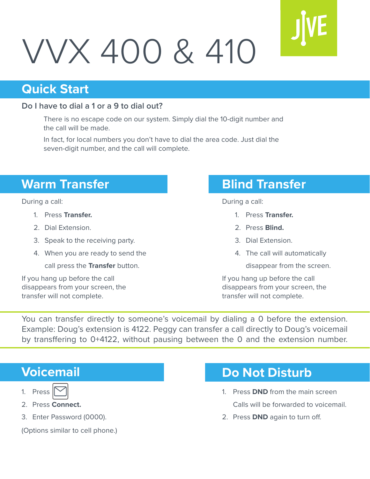# VVX 400 & 410

#### **Quick Start**

#### **Do I have to dial a 1 or a 9 to dial out?**

There is no escape code on our system. Simply dial the 10-digit number and the call will be made.

In fact, for local numbers you don't have to dial the area code. Just dial the seven-digit number, and the call will complete.

# **Warm Transfer Blind Transfer**

- 1. Press **Transfer.**
- 2. Dial Extension.
- 3. Speak to the receiving party.
- 4. When you are ready to send the

call press the **Transfer** button.

If you hang up before the call disappears from your screen, the transfer will not complete.

During a call: During a call:

- 1. Press **Transfer.**
- 2. Press **Blind.**
- 3. Dial Extension.
- 4. The call will automatically
	- disappear from the screen.

If you hang up before the call disappears from your screen, the transfer will not complete.

You can transfer directly to someone's voicemail by dialing a 0 before the extension. Example: Doug's extension is 4122. Peggy can transfer a call directly to Doug's voicemail by transffering to 0+4122, without pausing between the 0 and the extension number.

### **Voicemail**

- 2. Press **Connect.**
- 3. Enter Password (0000).

(Options similar to cell phone.)

### **Do Not Disturb**

- 1. Press **DND** from the main screen Calls will be forwarded to voicemail.
- 2. Press **DND** again to turn off.